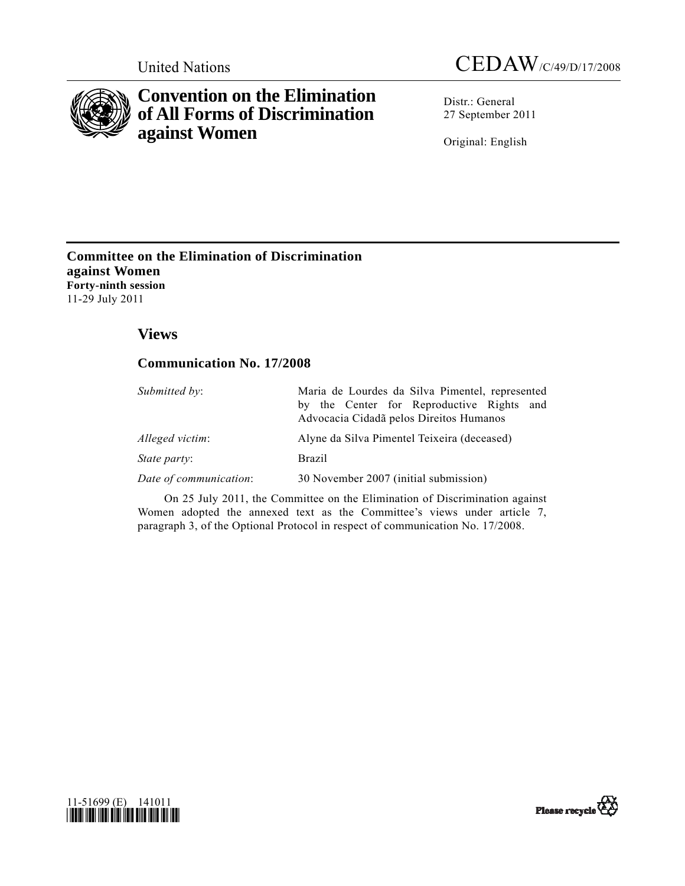

# **Convention on the Elimination of All Forms of Discrimination against Women**

Distr.: General 27 September 2011

Original: English

# **Committee on the Elimination of Discrimination against Women Forty-ninth session**  11-29 July 2011

# **Views**

# **Communication No. 17/2008**

| Submitted by:          | Maria de Lourdes da Silva Pimentel, represented                                      |
|------------------------|--------------------------------------------------------------------------------------|
|                        | by the Center for Reproductive Rights and<br>Advocacia Cidadã pelos Direitos Humanos |
| Alleged victim:        | Alyne da Silva Pimentel Teixeira (deceased)                                          |
| State party:           | <b>Brazil</b>                                                                        |
| Date of communication: | 30 November 2007 (initial submission)                                                |

 On 25 July 2011, the Committee on the Elimination of Discrimination against Women adopted the annexed text as the Committee's views under article 7, paragraph 3, of the Optional Protocol in respect of communication No. 17/2008.



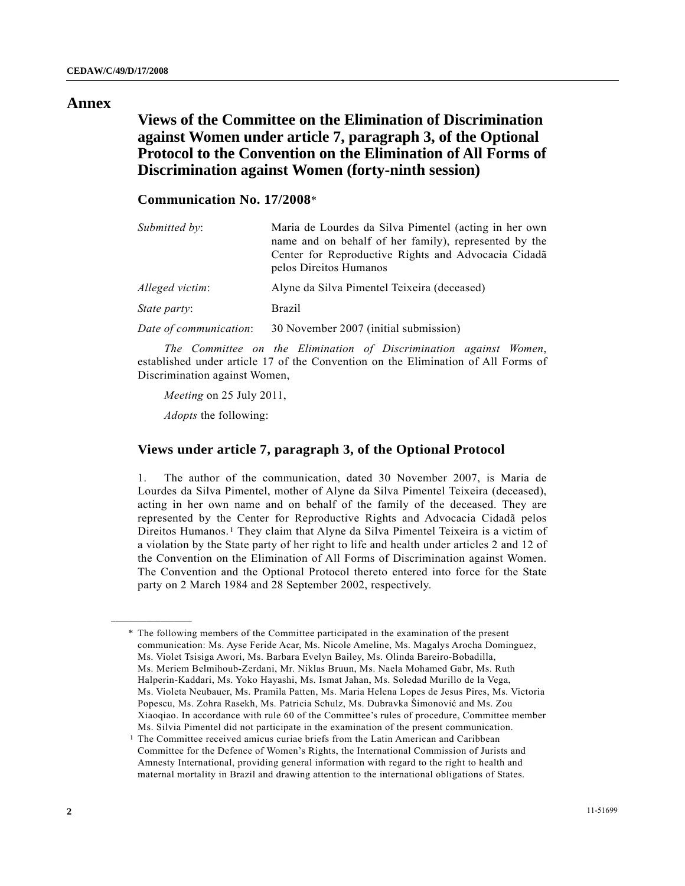### **Annex**

 **Views of the Committee on the Elimination of Discrimination against Women under article 7, paragraph 3, of the Optional Protocol to the Convention on the Elimination of All Forms of Discrimination against Women (forty-ninth session)** 

# **Communication No. 17/2008**\*

| Submitted by:          | Maria de Lourdes da Silva Pimentel (acting in her own<br>name and on behalf of her family), represented by the<br>Center for Reproductive Rights and Advocacia Cidadã<br>pelos Direitos Humanos |
|------------------------|-------------------------------------------------------------------------------------------------------------------------------------------------------------------------------------------------|
| Alleged victim:        | Alyne da Silva Pimentel Teixeira (deceased)                                                                                                                                                     |
| <i>State party:</i>    | <b>Brazil</b>                                                                                                                                                                                   |
| Date of communication: | 30 November 2007 (initial submission)                                                                                                                                                           |

*The Committee on the Elimination of Discrimination against Women*, established under article 17 of the Convention on the Elimination of All Forms of Discrimination against Women,

*Meeting* on 25 July 2011,

*Adopts* the following:

<span id="page-1-0"></span>**\_\_\_\_\_\_\_\_\_\_\_\_\_\_\_\_\_\_** 

## **Views under article 7, paragraph 3, of the Optional Protocol**

1. The author of the communication, dated 30 November 2007, is Maria de Lourdes da Silva Pimentel, mother of Alyne da Silva Pimentel Teixeira (deceased), acting in her own name and on behalf of the family of the deceased. They are represented by the Center for Reproductive Rights and Advocacia Cidadã pelos Direitos Humanos.[1](#page-1-0) They claim that Alyne da Silva Pimentel Teixeira is a victim of a violation by the State party of her right to life and health under articles 2 and 12 of the Convention on the Elimination of All Forms of Discrimination against Women. The Convention and the Optional Protocol thereto entered into force for the State party on 2 March 1984 and 28 September 2002, respectively.

1 The Committee received amicus curiae briefs from the Latin American and Caribbean Committee for the Defence of Women's Rights, the International Commission of Jurists and Amnesty International, providing general information with regard to the right to health and maternal mortality in Brazil and drawing attention to the international obligations of States.

 <sup>\*</sup> The following members of the Committee participated in the examination of the present communication: Ms. Ayse Feride Acar, Ms. Nicole Ameline, Ms. Magalys Arocha Dominguez, Ms. Violet Tsisiga Awori, Ms. Barbara Evelyn Bailey, Ms. Olinda Bareiro-Bobadilla, Ms. Meriem Belmihoub-Zerdani, Mr. Niklas Bruun, Ms. Naela Mohamed Gabr, Ms. Ruth Halperin-Kaddari, Ms. Yoko Hayashi, Ms. Ismat Jahan, Ms. Soledad Murillo de la Vega, Ms. Violeta Neubauer, Ms. Pramila Patten, Ms. Maria Helena Lopes de Jesus Pires, Ms. Victoria Popescu, Ms. Zohra Rasekh, Ms. Patricia Schulz, Ms. Dubravka Šimonović and Ms. Zou Xiaoqiao. In accordance with rule 60 of the Committee's rules of procedure, Committee member Ms. Silvia Pimentel did not participate in the examination of the present communication.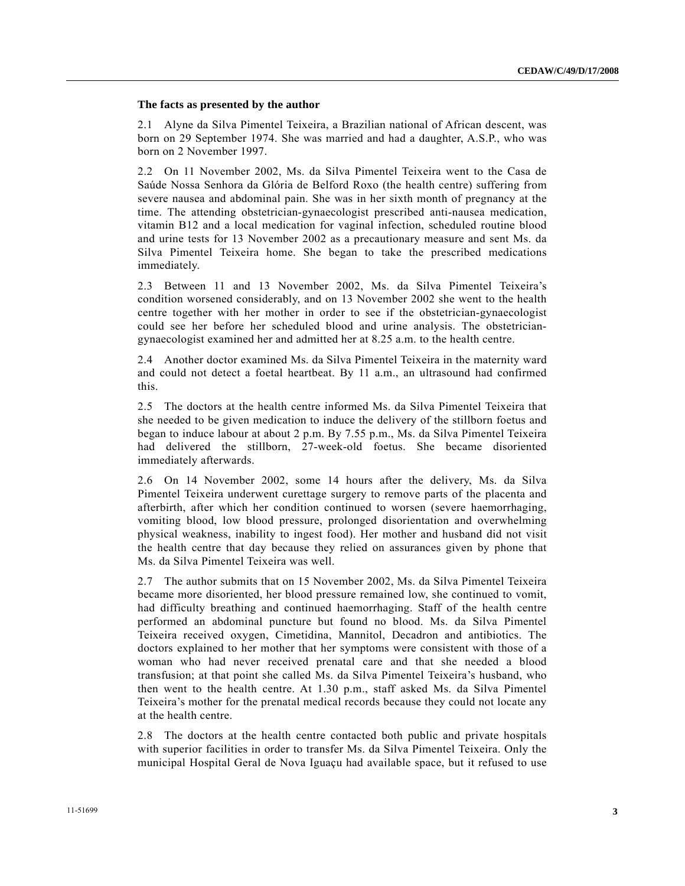#### **The facts as presented by the author**

2.1 Alyne da Silva Pimentel Teixeira, a Brazilian national of African descent, was born on 29 September 1974. She was married and had a daughter, A.S.P., who was born on 2 November 1997.

2.2 On 11 November 2002, Ms. da Silva Pimentel Teixeira went to the Casa de Saúde Nossa Senhora da Glória de Belford Roxo (the health centre) suffering from severe nausea and abdominal pain. She was in her sixth month of pregnancy at the time. The attending obstetrician-gynaecologist prescribed anti-nausea medication, vitamin B12 and a local medication for vaginal infection, scheduled routine blood and urine tests for 13 November 2002 as a precautionary measure and sent Ms. da Silva Pimentel Teixeira home. She began to take the prescribed medications immediately.

2.3 Between 11 and 13 November 2002, Ms. da Silva Pimentel Teixeira's condition worsened considerably, and on 13 November 2002 she went to the health centre together with her mother in order to see if the obstetrician-gynaecologist could see her before her scheduled blood and urine analysis. The obstetriciangynaecologist examined her and admitted her at 8.25 a.m. to the health centre.

2.4 Another doctor examined Ms. da Silva Pimentel Teixeira in the maternity ward and could not detect a foetal heartbeat. By 11 a.m., an ultrasound had confirmed this.

2.5 The doctors at the health centre informed Ms. da Silva Pimentel Teixeira that she needed to be given medication to induce the delivery of the stillborn foetus and began to induce labour at about 2 p.m. By 7.55 p.m., Ms. da Silva Pimentel Teixeira had delivered the stillborn, 27-week-old foetus. She became disoriented immediately afterwards.

2.6 On 14 November 2002, some 14 hours after the delivery, Ms. da Silva Pimentel Teixeira underwent curettage surgery to remove parts of the placenta and afterbirth, after which her condition continued to worsen (severe haemorrhaging, vomiting blood, low blood pressure, prolonged disorientation and overwhelming physical weakness, inability to ingest food). Her mother and husband did not visit the health centre that day because they relied on assurances given by phone that Ms. da Silva Pimentel Teixeira was well.

2.7 The author submits that on 15 November 2002, Ms. da Silva Pimentel Teixeira became more disoriented, her blood pressure remained low, she continued to vomit, had difficulty breathing and continued haemorrhaging. Staff of the health centre performed an abdominal puncture but found no blood. Ms. da Silva Pimentel Teixeira received oxygen, Cimetidina, Mannitol, Decadron and antibiotics. The doctors explained to her mother that her symptoms were consistent with those of a woman who had never received prenatal care and that she needed a blood transfusion; at that point she called Ms. da Silva Pimentel Teixeira's husband, who then went to the health centre. At 1.30 p.m., staff asked Ms. da Silva Pimentel Teixeira's mother for the prenatal medical records because they could not locate any at the health centre.

2.8 The doctors at the health centre contacted both public and private hospitals with superior facilities in order to transfer Ms. da Silva Pimentel Teixeira. Only the municipal Hospital Geral de Nova Iguaçu had available space, but it refused to use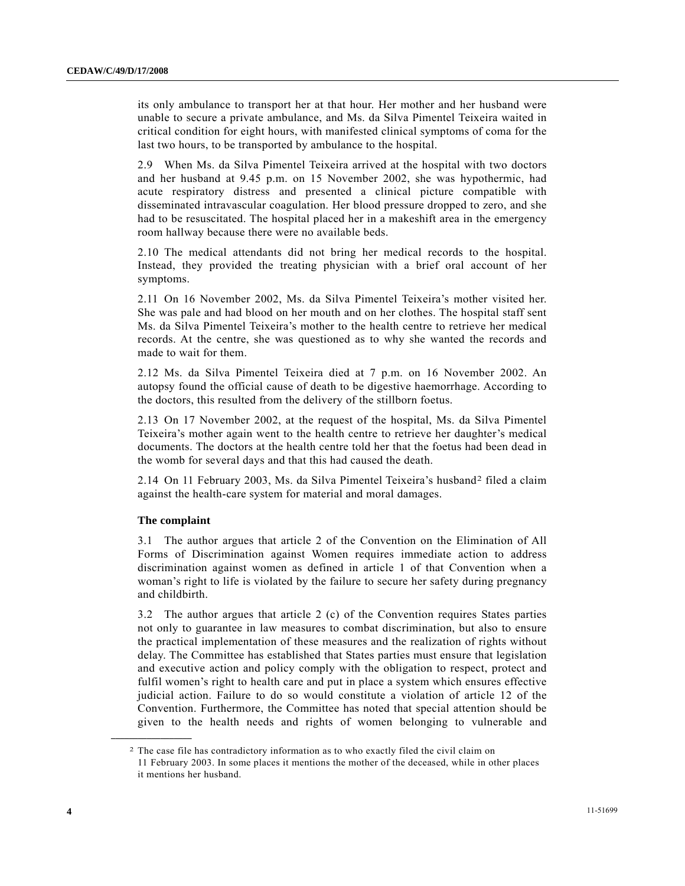its only ambulance to transport her at that hour. Her mother and her husband were unable to secure a private ambulance, and Ms. da Silva Pimentel Teixeira waited in critical condition for eight hours, with manifested clinical symptoms of coma for the last two hours, to be transported by ambulance to the hospital.

2.9 When Ms. da Silva Pimentel Teixeira arrived at the hospital with two doctors and her husband at 9.45 p.m. on 15 November 2002, she was hypothermic, had acute respiratory distress and presented a clinical picture compatible with disseminated intravascular coagulation. Her blood pressure dropped to zero, and she had to be resuscitated. The hospital placed her in a makeshift area in the emergency room hallway because there were no available beds.

2.10 The medical attendants did not bring her medical records to the hospital. Instead, they provided the treating physician with a brief oral account of her symptoms.

2.11 On 16 November 2002, Ms. da Silva Pimentel Teixeira's mother visited her. She was pale and had blood on her mouth and on her clothes. The hospital staff sent Ms. da Silva Pimentel Teixeira's mother to the health centre to retrieve her medical records. At the centre, she was questioned as to why she wanted the records and made to wait for them.

2.12 Ms. da Silva Pimentel Teixeira died at 7 p.m. on 16 November 2002. An autopsy found the official cause of death to be digestive haemorrhage. According to the doctors, this resulted from the delivery of the stillborn foetus.

2.13 On 17 November 2002, at the request of the hospital, Ms. da Silva Pimentel Teixeira's mother again went to the health centre to retrieve her daughter's medical documents. The doctors at the health centre told her that the foetus had been dead in the womb for several days and that this had caused the death.

2.14 On 11 February 2003, Ms. da Silva Pimentel Teixeira's husband[2](#page-3-0) filed a claim against the health-care system for material and moral damages.

### **The complaint**

<span id="page-3-0"></span>**\_\_\_\_\_\_\_\_\_\_\_\_\_\_\_\_\_\_** 

3.1 The author argues that article 2 of the Convention on the Elimination of All Forms of Discrimination against Women requires immediate action to address discrimination against women as defined in article 1 of that Convention when a woman's right to life is violated by the failure to secure her safety during pregnancy and childbirth.

3.2 The author argues that article 2 (c) of the Convention requires States parties not only to guarantee in law measures to combat discrimination, but also to ensure the practical implementation of these measures and the realization of rights without delay. The Committee has established that States parties must ensure that legislation and executive action and policy comply with the obligation to respect, protect and fulfil women's right to health care and put in place a system which ensures effective judicial action. Failure to do so would constitute a violation of article 12 of the Convention. Furthermore, the Committee has noted that special attention should be given to the health needs and rights of women belonging to vulnerable and

<sup>2</sup> The case file has contradictory information as to who exactly filed the civil claim on 11 February 2003. In some places it mentions the mother of the deceased, while in other places it mentions her husband.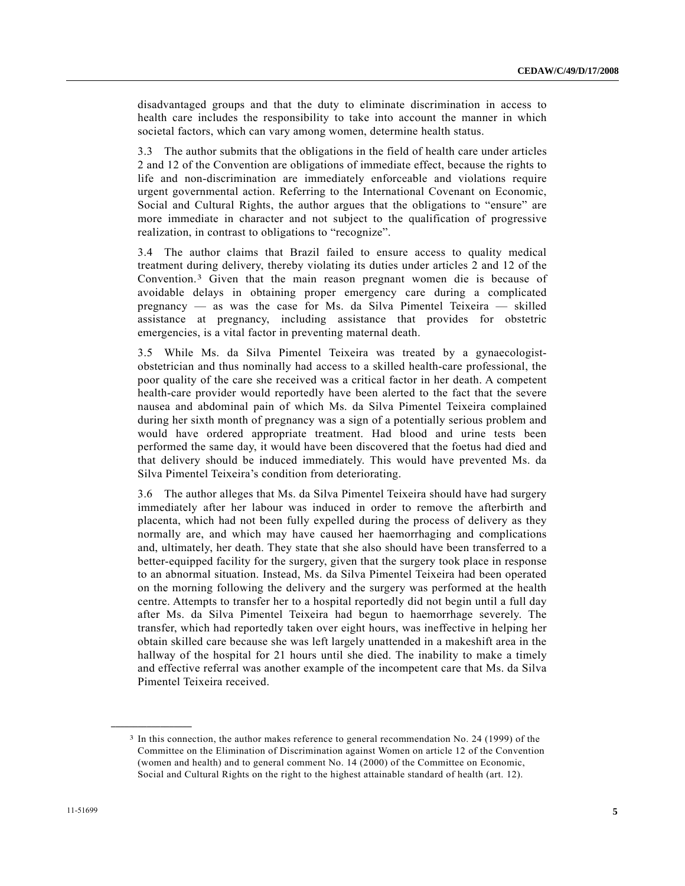disadvantaged groups and that the duty to eliminate discrimination in access to health care includes the responsibility to take into account the manner in which societal factors, which can vary among women, determine health status.

3.3 The author submits that the obligations in the field of health care under articles 2 and 12 of the Convention are obligations of immediate effect, because the rights to life and non-discrimination are immediately enforceable and violations require urgent governmental action. Referring to the International Covenant on Economic, Social and Cultural Rights, the author argues that the obligations to "ensure" are more immediate in character and not subject to the qualification of progressive realization, in contrast to obligations to "recognize".

3.4 The author claims that Brazil failed to ensure access to quality medical treatment during delivery, thereby violating its duties under articles 2 and 12 of the Convention.[3](#page-4-0) Given that the main reason pregnant women die is because of avoidable delays in obtaining proper emergency care during a complicated pregnancy — as was the case for Ms. da Silva Pimentel Teixeira — skilled assistance at pregnancy, including assistance that provides for obstetric emergencies, is a vital factor in preventing maternal death.

3.5 While Ms. da Silva Pimentel Teixeira was treated by a gynaecologistobstetrician and thus nominally had access to a skilled health-care professional, the poor quality of the care she received was a critical factor in her death. A competent health-care provider would reportedly have been alerted to the fact that the severe nausea and abdominal pain of which Ms. da Silva Pimentel Teixeira complained during her sixth month of pregnancy was a sign of a potentially serious problem and would have ordered appropriate treatment. Had blood and urine tests been performed the same day, it would have been discovered that the foetus had died and that delivery should be induced immediately. This would have prevented Ms. da Silva Pimentel Teixeira's condition from deteriorating.

3.6 The author alleges that Ms. da Silva Pimentel Teixeira should have had surgery immediately after her labour was induced in order to remove the afterbirth and placenta, which had not been fully expelled during the process of delivery as they normally are, and which may have caused her haemorrhaging and complications and, ultimately, her death. They state that she also should have been transferred to a better-equipped facility for the surgery, given that the surgery took place in response to an abnormal situation. Instead, Ms. da Silva Pimentel Teixeira had been operated on the morning following the delivery and the surgery was performed at the health centre. Attempts to transfer her to a hospital reportedly did not begin until a full day after Ms. da Silva Pimentel Teixeira had begun to haemorrhage severely. The transfer, which had reportedly taken over eight hours, was ineffective in helping her obtain skilled care because she was left largely unattended in a makeshift area in the hallway of the hospital for 21 hours until she died. The inability to make a timely and effective referral was another example of the incompetent care that Ms. da Silva Pimentel Teixeira received.

<span id="page-4-0"></span><sup>3</sup> In this connection, the author makes reference to general recommendation No. 24 (1999) of the Committee on the Elimination of Discrimination against Women on article 12 of the Convention (women and health) and to general comment No. 14 (2000) of the Committee on Economic, Social and Cultural Rights on the right to the highest attainable standard of health (art. 12).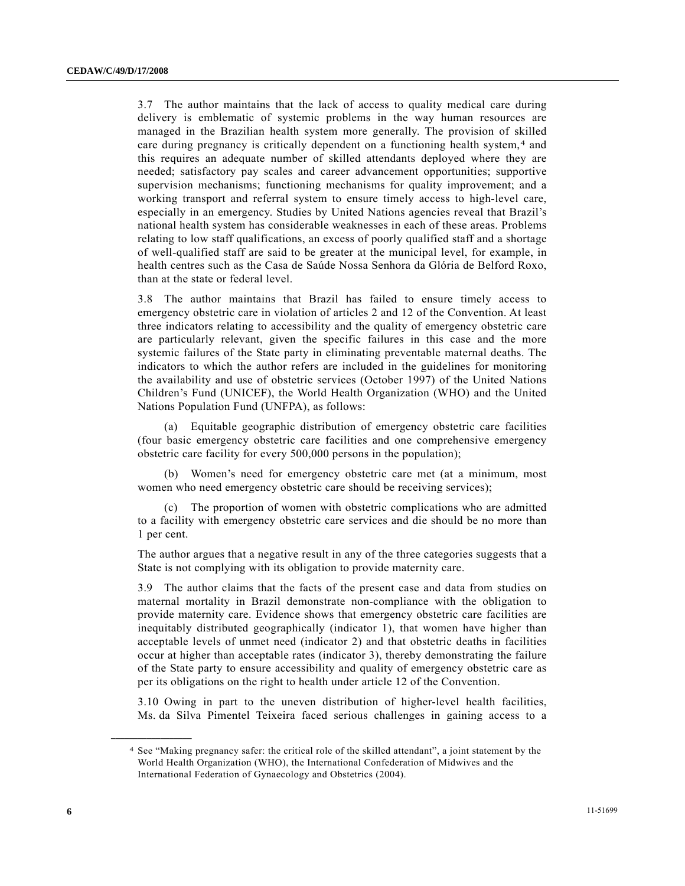3.7 The author maintains that the lack of access to quality medical care during delivery is emblematic of systemic problems in the way human resources are managed in the Brazilian health system more generally. The provision of skilled care during pregnancy is critically dependent on a functioning health system,[4](#page-5-0) and this requires an adequate number of skilled attendants deployed where they are needed; satisfactory pay scales and career advancement opportunities; supportive supervision mechanisms; functioning mechanisms for quality improvement; and a working transport and referral system to ensure timely access to high-level care, especially in an emergency. Studies by United Nations agencies reveal that Brazil's national health system has considerable weaknesses in each of these areas. Problems relating to low staff qualifications, an excess of poorly qualified staff and a shortage of well-qualified staff are said to be greater at the municipal level, for example, in health centres such as the Casa de Saúde Nossa Senhora da Glória de Belford Roxo, than at the state or federal level.

3.8 The author maintains that Brazil has failed to ensure timely access to emergency obstetric care in violation of articles 2 and 12 of the Convention. At least three indicators relating to accessibility and the quality of emergency obstetric care are particularly relevant, given the specific failures in this case and the more systemic failures of the State party in eliminating preventable maternal deaths. The indicators to which the author refers are included in the guidelines for monitoring the availability and use of obstetric services (October 1997) of the United Nations Children's Fund (UNICEF), the World Health Organization (WHO) and the United Nations Population Fund (UNFPA), as follows:

 (a) Equitable geographic distribution of emergency obstetric care facilities (four basic emergency obstetric care facilities and one comprehensive emergency obstetric care facility for every 500,000 persons in the population);

 (b) Women's need for emergency obstetric care met (at a minimum, most women who need emergency obstetric care should be receiving services);

 (c) The proportion of women with obstetric complications who are admitted to a facility with emergency obstetric care services and die should be no more than 1 per cent.

The author argues that a negative result in any of the three categories suggests that a State is not complying with its obligation to provide maternity care.

3.9 The author claims that the facts of the present case and data from studies on maternal mortality in Brazil demonstrate non-compliance with the obligation to provide maternity care. Evidence shows that emergency obstetric care facilities are inequitably distributed geographically (indicator 1), that women have higher than acceptable levels of unmet need (indicator 2) and that obstetric deaths in facilities occur at higher than acceptable rates (indicator 3), thereby demonstrating the failure of the State party to ensure accessibility and quality of emergency obstetric care as per its obligations on the right to health under article 12 of the Convention.

3.10 Owing in part to the uneven distribution of higher-level health facilities, Ms. da Silva Pimentel Teixeira faced serious challenges in gaining access to a

<span id="page-5-0"></span><sup>4</sup> See "Making pregnancy safer: the critical role of the skilled attendant", a joint statement by the World Health Organization (WHO), the International Confederation of Midwives and the International Federation of Gynaecology and Obstetrics (2004).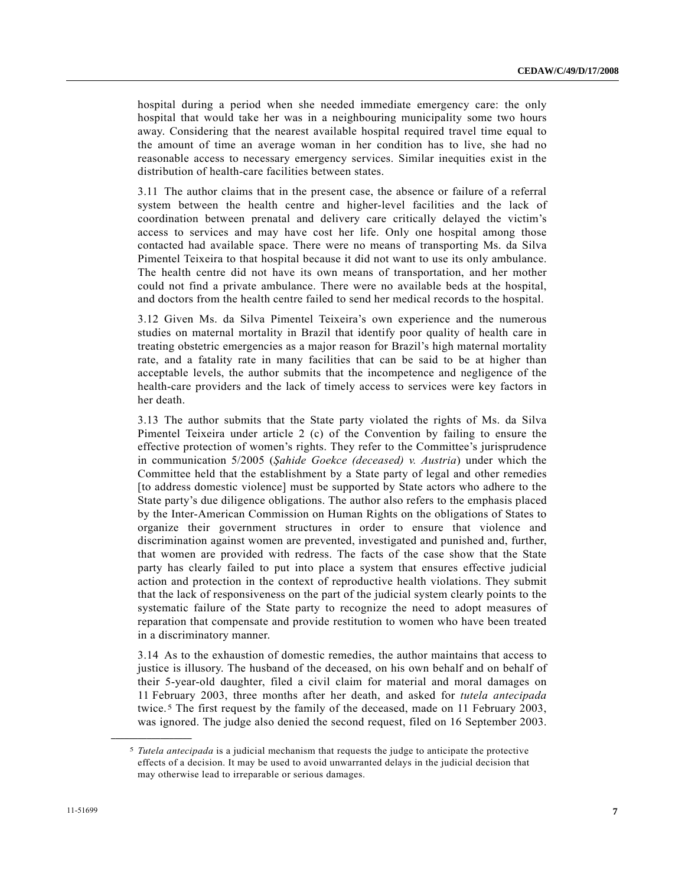hospital during a period when she needed immediate emergency care: the only hospital that would take her was in a neighbouring municipality some two hours away. Considering that the nearest available hospital required travel time equal to the amount of time an average woman in her condition has to live, she had no reasonable access to necessary emergency services. Similar inequities exist in the distribution of health-care facilities between states.

3.11 The author claims that in the present case, the absence or failure of a referral system between the health centre and higher-level facilities and the lack of coordination between prenatal and delivery care critically delayed the victim's access to services and may have cost her life. Only one hospital among those contacted had available space. There were no means of transporting Ms. da Silva Pimentel Teixeira to that hospital because it did not want to use its only ambulance. The health centre did not have its own means of transportation, and her mother could not find a private ambulance. There were no available beds at the hospital, and doctors from the health centre failed to send her medical records to the hospital.

3.12 Given Ms. da Silva Pimentel Teixeira's own experience and the numerous studies on maternal mortality in Brazil that identify poor quality of health care in treating obstetric emergencies as a major reason for Brazil's high maternal mortality rate, and a fatality rate in many facilities that can be said to be at higher than acceptable levels, the author submits that the incompetence and negligence of the health-care providers and the lack of timely access to services were key factors in her death.

3.13 The author submits that the State party violated the rights of Ms. da Silva Pimentel Teixeira under article 2 (c) of the Convention by failing to ensure the effective protection of women's rights. They refer to the Committee's jurisprudence in communication 5/2005 (*Şahide Goekce (deceased) v. Austria*) under which the Committee held that the establishment by a State party of legal and other remedies [to address domestic violence] must be supported by State actors who adhere to the State party's due diligence obligations. The author also refers to the emphasis placed by the Inter-American Commission on Human Rights on the obligations of States to organize their government structures in order to ensure that violence and discrimination against women are prevented, investigated and punished and, further, that women are provided with redress. The facts of the case show that the State party has clearly failed to put into place a system that ensures effective judicial action and protection in the context of reproductive health violations. They submit that the lack of responsiveness on the part of the judicial system clearly points to the systematic failure of the State party to recognize the need to adopt measures of reparation that compensate and provide restitution to women who have been treated in a discriminatory manner.

3.14 As to the exhaustion of domestic remedies, the author maintains that access to justice is illusory. The husband of the deceased, on his own behalf and on behalf of their 5-year-old daughter, filed a civil claim for material and moral damages on 11 February 2003, three months after her death, and asked for *tutela antecipada* twice.[5](#page-6-0) The first request by the family of the deceased, made on 11 February 2003, was ignored. The judge also denied the second request, filed on 16 September 2003.

<span id="page-6-0"></span><sup>5</sup> *Tutela antecipada* is a judicial mechanism that requests the judge to anticipate the protective effects of a decision. It may be used to avoid unwarranted delays in the judicial decision that may otherwise lead to irreparable or serious damages.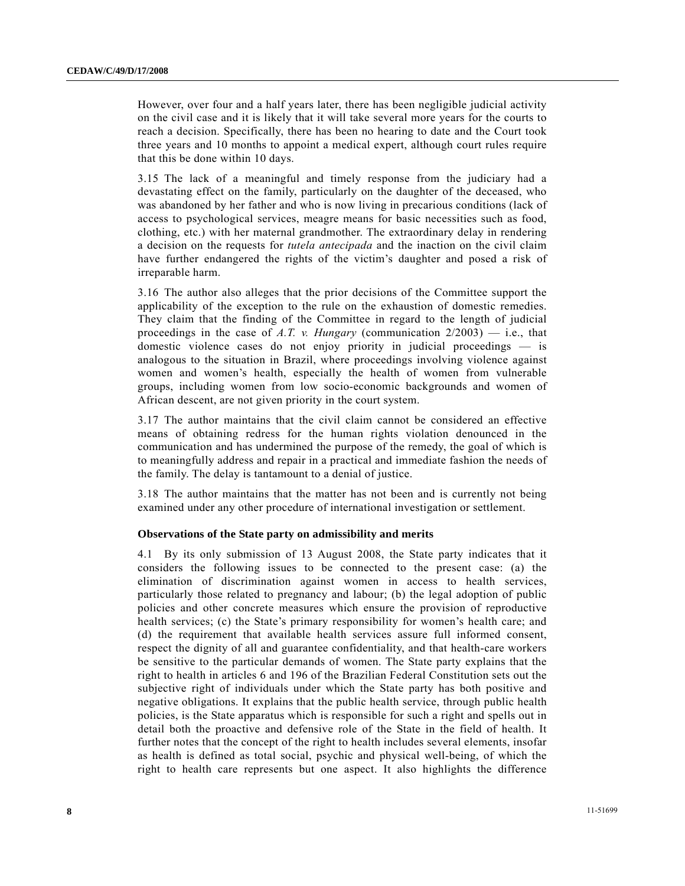However, over four and a half years later, there has been negligible judicial activity on the civil case and it is likely that it will take several more years for the courts to reach a decision. Specifically, there has been no hearing to date and the Court took three years and 10 months to appoint a medical expert, although court rules require that this be done within 10 days.

3.15 The lack of a meaningful and timely response from the judiciary had a devastating effect on the family, particularly on the daughter of the deceased, who was abandoned by her father and who is now living in precarious conditions (lack of access to psychological services, meagre means for basic necessities such as food, clothing, etc.) with her maternal grandmother. The extraordinary delay in rendering a decision on the requests for *tutela antecipada* and the inaction on the civil claim have further endangered the rights of the victim's daughter and posed a risk of irreparable harm.

3.16 The author also alleges that the prior decisions of the Committee support the applicability of the exception to the rule on the exhaustion of domestic remedies. They claim that the finding of the Committee in regard to the length of judicial proceedings in the case of  $A.T.$  v. Hungary (communication  $2/2003$ ) — i.e., that domestic violence cases do not enjoy priority in judicial proceedings — is analogous to the situation in Brazil, where proceedings involving violence against women and women's health, especially the health of women from vulnerable groups, including women from low socio-economic backgrounds and women of African descent, are not given priority in the court system.

3.17 The author maintains that the civil claim cannot be considered an effective means of obtaining redress for the human rights violation denounced in the communication and has undermined the purpose of the remedy, the goal of which is to meaningfully address and repair in a practical and immediate fashion the needs of the family. The delay is tantamount to a denial of justice.

3.18 The author maintains that the matter has not been and is currently not being examined under any other procedure of international investigation or settlement.

### **Observations of the State party on admissibility and merits**

4.1 By its only submission of 13 August 2008, the State party indicates that it considers the following issues to be connected to the present case: (a) the elimination of discrimination against women in access to health services, particularly those related to pregnancy and labour; (b) the legal adoption of public policies and other concrete measures which ensure the provision of reproductive health services; (c) the State's primary responsibility for women's health care; and (d) the requirement that available health services assure full informed consent, respect the dignity of all and guarantee confidentiality, and that health-care workers be sensitive to the particular demands of women. The State party explains that the right to health in articles 6 and 196 of the Brazilian Federal Constitution sets out the subjective right of individuals under which the State party has both positive and negative obligations. It explains that the public health service, through public health policies, is the State apparatus which is responsible for such a right and spells out in detail both the proactive and defensive role of the State in the field of health. It further notes that the concept of the right to health includes several elements, insofar as health is defined as total social, psychic and physical well-being, of which the right to health care represents but one aspect. It also highlights the difference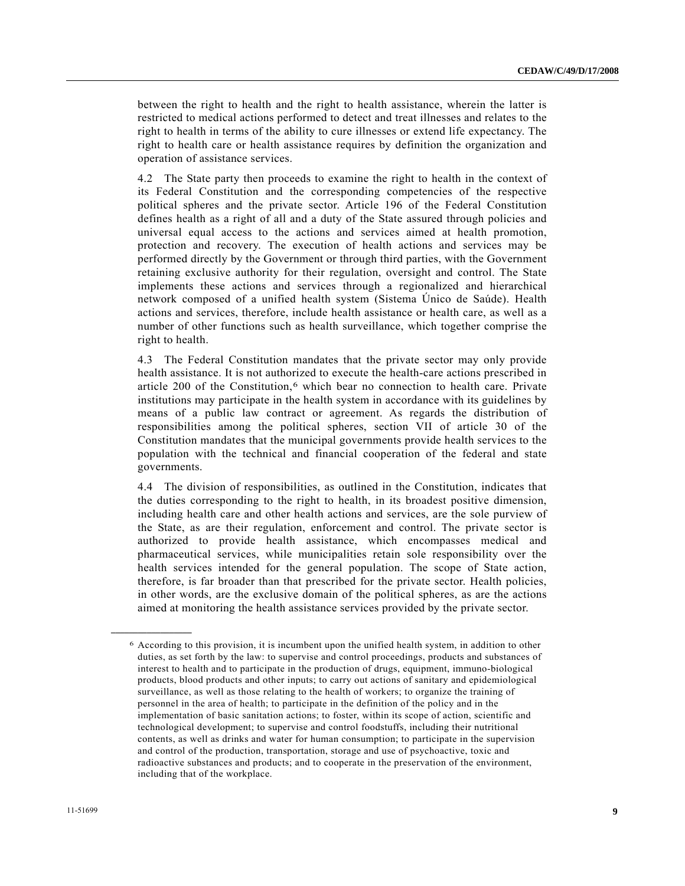between the right to health and the right to health assistance, wherein the latter is restricted to medical actions performed to detect and treat illnesses and relates to the right to health in terms of the ability to cure illnesses or extend life expectancy. The right to health care or health assistance requires by definition the organization and operation of assistance services.

4.2 The State party then proceeds to examine the right to health in the context of its Federal Constitution and the corresponding competencies of the respective political spheres and the private sector. Article 196 of the Federal Constitution defines health as a right of all and a duty of the State assured through policies and universal equal access to the actions and services aimed at health promotion, protection and recovery. The execution of health actions and services may be performed directly by the Government or through third parties, with the Government retaining exclusive authority for their regulation, oversight and control. The State implements these actions and services through a regionalized and hierarchical network composed of a unified health system (Sistema Único de Saúde). Health actions and services, therefore, include health assistance or health care, as well as a number of other functions such as health surveillance, which together comprise the right to health.

4.3 The Federal Constitution mandates that the private sector may only provide health assistance. It is not authorized to execute the health-care actions prescribed in article 200 of the Constitution, $6$  which bear no connection to health care. Private institutions may participate in the health system in accordance with its guidelines by means of a public law contract or agreement. As regards the distribution of responsibilities among the political spheres, section VII of article 30 of the Constitution mandates that the municipal governments provide health services to the population with the technical and financial cooperation of the federal and state governments.

4.4 The division of responsibilities, as outlined in the Constitution, indicates that the duties corresponding to the right to health, in its broadest positive dimension, including health care and other health actions and services, are the sole purview of the State, as are their regulation, enforcement and control. The private sector is authorized to provide health assistance, which encompasses medical and pharmaceutical services, while municipalities retain sole responsibility over the health services intended for the general population. The scope of State action, therefore, is far broader than that prescribed for the private sector. Health policies, in other words, are the exclusive domain of the political spheres, as are the actions aimed at monitoring the health assistance services provided by the private sector.

<span id="page-8-0"></span><sup>6</sup> According to this provision, it is incumbent upon the unified health system, in addition to other duties, as set forth by the law: to supervise and control proceedings, products and substances of interest to health and to participate in the production of drugs, equipment, immuno-biological products, blood products and other inputs; to carry out actions of sanitary and epidemiological surveillance, as well as those relating to the health of workers; to organize the training of personnel in the area of health; to participate in the definition of the policy and in the implementation of basic sanitation actions; to foster, within its scope of action, scientific and technological development; to supervise and control foodstuffs, including their nutritional contents, as well as drinks and water for human consumption; to participate in the supervision and control of the production, transportation, storage and use of psychoactive, toxic and radioactive substances and products; and to cooperate in the preservation of the environment, including that of the workplace.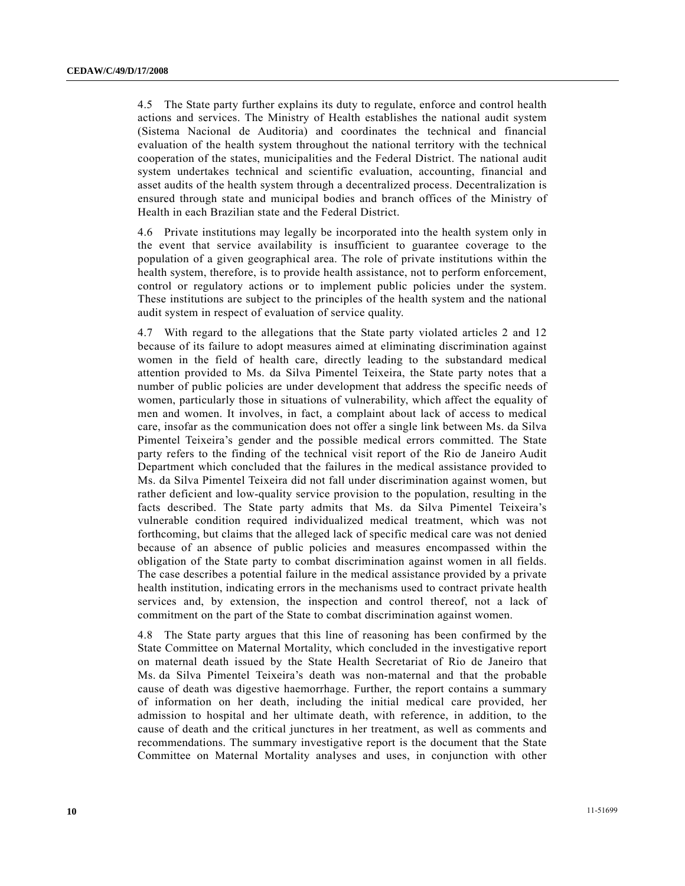4.5 The State party further explains its duty to regulate, enforce and control health actions and services. The Ministry of Health establishes the national audit system (Sistema Nacional de Auditoria) and coordinates the technical and financial evaluation of the health system throughout the national territory with the technical cooperation of the states, municipalities and the Federal District. The national audit system undertakes technical and scientific evaluation, accounting, financial and asset audits of the health system through a decentralized process. Decentralization is ensured through state and municipal bodies and branch offices of the Ministry of Health in each Brazilian state and the Federal District.

4.6 Private institutions may legally be incorporated into the health system only in the event that service availability is insufficient to guarantee coverage to the population of a given geographical area. The role of private institutions within the health system, therefore, is to provide health assistance, not to perform enforcement, control or regulatory actions or to implement public policies under the system. These institutions are subject to the principles of the health system and the national audit system in respect of evaluation of service quality.

4.7 With regard to the allegations that the State party violated articles 2 and 12 because of its failure to adopt measures aimed at eliminating discrimination against women in the field of health care, directly leading to the substandard medical attention provided to Ms. da Silva Pimentel Teixeira, the State party notes that a number of public policies are under development that address the specific needs of women, particularly those in situations of vulnerability, which affect the equality of men and women. It involves, in fact, a complaint about lack of access to medical care, insofar as the communication does not offer a single link between Ms. da Silva Pimentel Teixeira's gender and the possible medical errors committed. The State party refers to the finding of the technical visit report of the Rio de Janeiro Audit Department which concluded that the failures in the medical assistance provided to Ms. da Silva Pimentel Teixeira did not fall under discrimination against women, but rather deficient and low-quality service provision to the population, resulting in the facts described. The State party admits that Ms. da Silva Pimentel Teixeira's vulnerable condition required individualized medical treatment, which was not forthcoming, but claims that the alleged lack of specific medical care was not denied because of an absence of public policies and measures encompassed within the obligation of the State party to combat discrimination against women in all fields. The case describes a potential failure in the medical assistance provided by a private health institution, indicating errors in the mechanisms used to contract private health services and, by extension, the inspection and control thereof, not a lack of commitment on the part of the State to combat discrimination against women.

4.8 The State party argues that this line of reasoning has been confirmed by the State Committee on Maternal Mortality, which concluded in the investigative report on maternal death issued by the State Health Secretariat of Rio de Janeiro that Ms. da Silva Pimentel Teixeira's death was non-maternal and that the probable cause of death was digestive haemorrhage. Further, the report contains a summary of information on her death, including the initial medical care provided, her admission to hospital and her ultimate death, with reference, in addition, to the cause of death and the critical junctures in her treatment, as well as comments and recommendations. The summary investigative report is the document that the State Committee on Maternal Mortality analyses and uses, in conjunction with other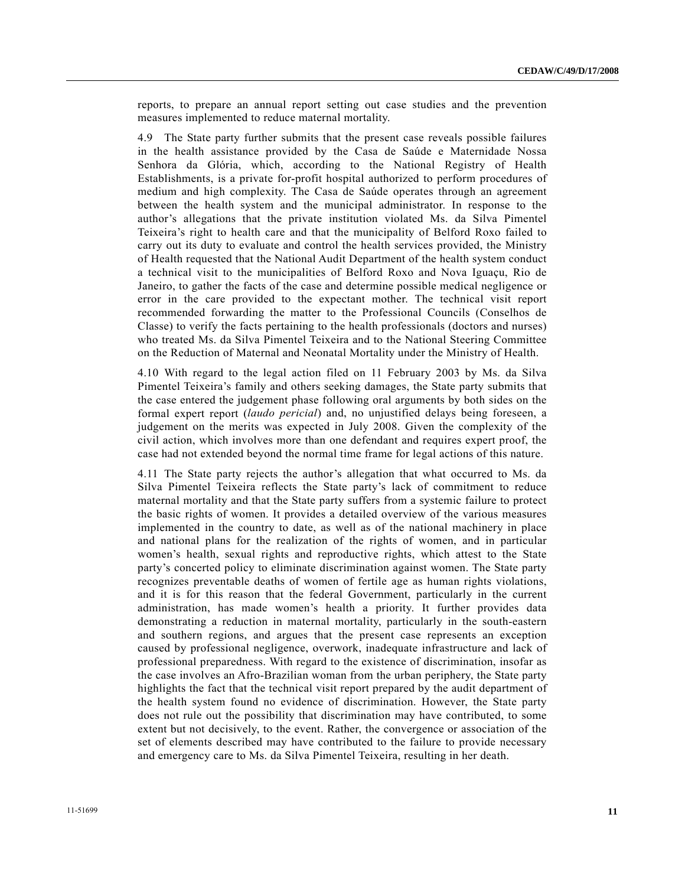reports, to prepare an annual report setting out case studies and the prevention measures implemented to reduce maternal mortality.

4.9 The State party further submits that the present case reveals possible failures in the health assistance provided by the Casa de Saúde e Maternidade Nossa Senhora da Glória, which, according to the National Registry of Health Establishments, is a private for-profit hospital authorized to perform procedures of medium and high complexity. The Casa de Saúde operates through an agreement between the health system and the municipal administrator. In response to the author's allegations that the private institution violated Ms. da Silva Pimentel Teixeira's right to health care and that the municipality of Belford Roxo failed to carry out its duty to evaluate and control the health services provided, the Ministry of Health requested that the National Audit Department of the health system conduct a technical visit to the municipalities of Belford Roxo and Nova Iguaçu, Rio de Janeiro, to gather the facts of the case and determine possible medical negligence or error in the care provided to the expectant mother. The technical visit report recommended forwarding the matter to the Professional Councils (Conselhos de Classe) to verify the facts pertaining to the health professionals (doctors and nurses) who treated Ms. da Silva Pimentel Teixeira and to the National Steering Committee on the Reduction of Maternal and Neonatal Mortality under the Ministry of Health.

4.10 With regard to the legal action filed on 11 February 2003 by Ms. da Silva Pimentel Teixeira's family and others seeking damages, the State party submits that the case entered the judgement phase following oral arguments by both sides on the formal expert report (*laudo pericial*) and, no unjustified delays being foreseen, a judgement on the merits was expected in July 2008. Given the complexity of the civil action, which involves more than one defendant and requires expert proof, the case had not extended beyond the normal time frame for legal actions of this nature.

4.11 The State party rejects the author's allegation that what occurred to Ms. da Silva Pimentel Teixeira reflects the State party's lack of commitment to reduce maternal mortality and that the State party suffers from a systemic failure to protect the basic rights of women. It provides a detailed overview of the various measures implemented in the country to date, as well as of the national machinery in place and national plans for the realization of the rights of women, and in particular women's health, sexual rights and reproductive rights, which attest to the State party's concerted policy to eliminate discrimination against women. The State party recognizes preventable deaths of women of fertile age as human rights violations, and it is for this reason that the federal Government, particularly in the current administration, has made women's health a priority. It further provides data demonstrating a reduction in maternal mortality, particularly in the south-eastern and southern regions, and argues that the present case represents an exception caused by professional negligence, overwork, inadequate infrastructure and lack of professional preparedness. With regard to the existence of discrimination, insofar as the case involves an Afro-Brazilian woman from the urban periphery, the State party highlights the fact that the technical visit report prepared by the audit department of the health system found no evidence of discrimination. However, the State party does not rule out the possibility that discrimination may have contributed, to some extent but not decisively, to the event. Rather, the convergence or association of the set of elements described may have contributed to the failure to provide necessary and emergency care to Ms. da Silva Pimentel Teixeira, resulting in her death.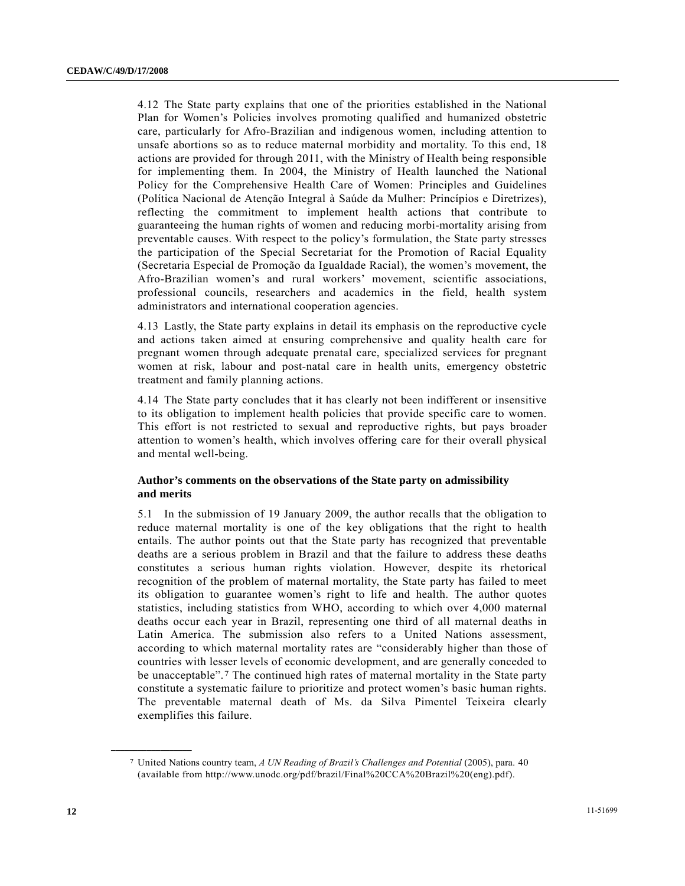4.12 The State party explains that one of the priorities established in the National Plan for Women's Policies involves promoting qualified and humanized obstetric care, particularly for Afro-Brazilian and indigenous women, including attention to unsafe abortions so as to reduce maternal morbidity and mortality. To this end, 18 actions are provided for through 2011, with the Ministry of Health being responsible for implementing them. In 2004, the Ministry of Health launched the National Policy for the Comprehensive Health Care of Women: Principles and Guidelines (Política Nacional de Atenção Integral à Saúde da Mulher: Princípios e Diretrizes), reflecting the commitment to implement health actions that contribute to guaranteeing the human rights of women and reducing morbi-mortality arising from preventable causes. With respect to the policy's formulation, the State party stresses the participation of the Special Secretariat for the Promotion of Racial Equality (Secretaria Especial de Promoção da Igualdade Racial), the women's movement, the Afro-Brazilian women's and rural workers' movement, scientific associations, professional councils, researchers and academics in the field, health system administrators and international cooperation agencies.

4.13 Lastly, the State party explains in detail its emphasis on the reproductive cycle and actions taken aimed at ensuring comprehensive and quality health care for pregnant women through adequate prenatal care, specialized services for pregnant women at risk, labour and post-natal care in health units, emergency obstetric treatment and family planning actions.

4.14 The State party concludes that it has clearly not been indifferent or insensitive to its obligation to implement health policies that provide specific care to women. This effort is not restricted to sexual and reproductive rights, but pays broader attention to women's health, which involves offering care for their overall physical and mental well-being.

### **Author's comments on the observations of the State party on admissibility and merits**

5.1 In the submission of 19 January 2009, the author recalls that the obligation to reduce maternal mortality is one of the key obligations that the right to health entails. The author points out that the State party has recognized that preventable deaths are a serious problem in Brazil and that the failure to address these deaths constitutes a serious human rights violation. However, despite its rhetorical recognition of the problem of maternal mortality, the State party has failed to meet its obligation to guarantee women's right to life and health. The author quotes statistics, including statistics from WHO, according to which over 4,000 maternal deaths occur each year in Brazil, representing one third of all maternal deaths in Latin America. The submission also refers to a United Nations assessment, according to which maternal mortality rates are "considerably higher than those of countries with lesser levels of economic development, and are generally conceded to be unacceptable".[7](#page-11-0) The continued high rates of maternal mortality in the State party constitute a systematic failure to prioritize and protect women's basic human rights. The preventable maternal death of Ms. da Silva Pimentel Teixeira clearly exemplifies this failure.

<span id="page-11-0"></span><sup>7</sup> United Nations country team, *A UN Reading of Brazil's Challenges and Potential* (2005), para. 40 (available from http://www.unodc.org/pdf/brazil/Final%20CCA%20Brazil%20(eng).pdf).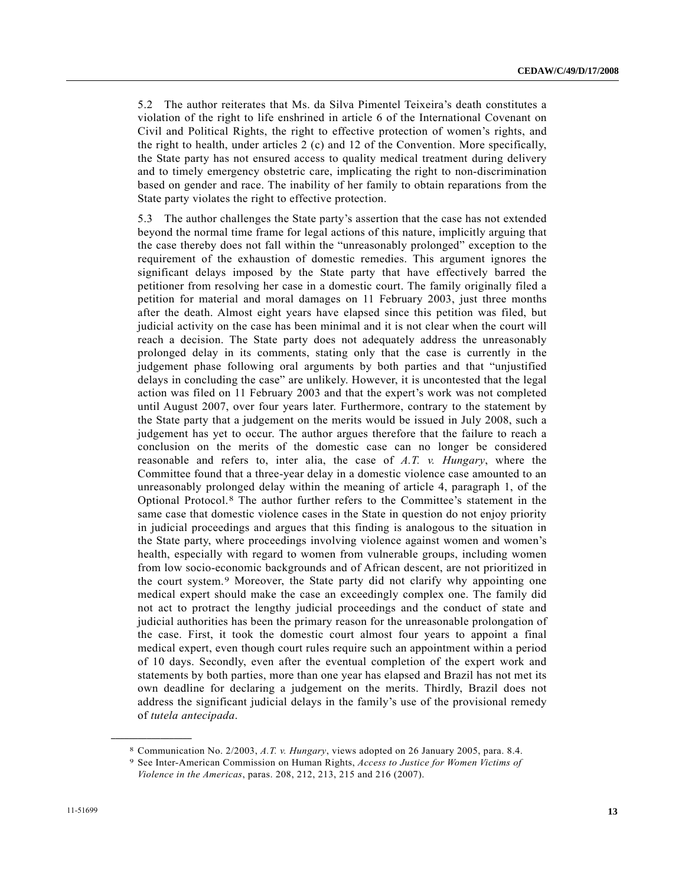5.2 The author reiterates that Ms. da Silva Pimentel Teixeira's death constitutes a violation of the right to life enshrined in article 6 of the International Covenant on Civil and Political Rights, the right to effective protection of women's rights, and the right to health, under articles  $2$  (c) and 12 of the Convention. More specifically, the State party has not ensured access to quality medical treatment during delivery and to timely emergency obstetric care, implicating the right to non-discrimination based on gender and race. The inability of her family to obtain reparations from the State party violates the right to effective protection.

5.3 The author challenges the State party's assertion that the case has not extended beyond the normal time frame for legal actions of this nature, implicitly arguing that the case thereby does not fall within the "unreasonably prolonged" exception to the requirement of the exhaustion of domestic remedies. This argument ignores the significant delays imposed by the State party that have effectively barred the petitioner from resolving her case in a domestic court. The family originally filed a petition for material and moral damages on 11 February 2003, just three months after the death. Almost eight years have elapsed since this petition was filed, but judicial activity on the case has been minimal and it is not clear when the court will reach a decision. The State party does not adequately address the unreasonably prolonged delay in its comments, stating only that the case is currently in the judgement phase following oral arguments by both parties and that "unjustified delays in concluding the case" are unlikely. However, it is uncontested that the legal action was filed on 11 February 2003 and that the expert's work was not completed until August 2007, over four years later. Furthermore, contrary to the statement by the State party that a judgement on the merits would be issued in July 2008, such a judgement has yet to occur. The author argues therefore that the failure to reach a conclusion on the merits of the domestic case can no longer be considered reasonable and refers to, inter alia, the case of *A.T. v. Hungary*, where the Committee found that a three-year delay in a domestic violence case amounted to an unreasonably prolonged delay within the meaning of article 4, paragraph 1, of the Optional Protocol.[8](#page-12-0) The author further refers to the Committee's statement in the same case that domestic violence cases in the State in question do not enjoy priority in judicial proceedings and argues that this finding is analogous to the situation in the State party, where proceedings involving violence against women and women's health, especially with regard to women from vulnerable groups, including women from low socio-economic backgrounds and of African descent, are not prioritized in the court system.[9](#page-12-1) Moreover, the State party did not clarify why appointing one medical expert should make the case an exceedingly complex one. The family did not act to protract the lengthy judicial proceedings and the conduct of state and judicial authorities has been the primary reason for the unreasonable prolongation of the case. First, it took the domestic court almost four years to appoint a final medical expert, even though court rules require such an appointment within a period of 10 days. Secondly, even after the eventual completion of the expert work and statements by both parties, more than one year has elapsed and Brazil has not met its own deadline for declaring a judgement on the merits. Thirdly, Brazil does not address the significant judicial delays in the family's use of the provisional remedy of *tutela antecipada*.

<span id="page-12-1"></span><span id="page-12-0"></span><sup>8</sup> Communication No. 2/2003, *A.T. v. Hungary*, views adopted on 26 January 2005, para. 8.4. 9 See Inter-American Commission on Human Rights, *Access to Justice for Women Victims of* 

*Violence in the Americas*, paras. 208, 212, 213, 215 and 216 (2007).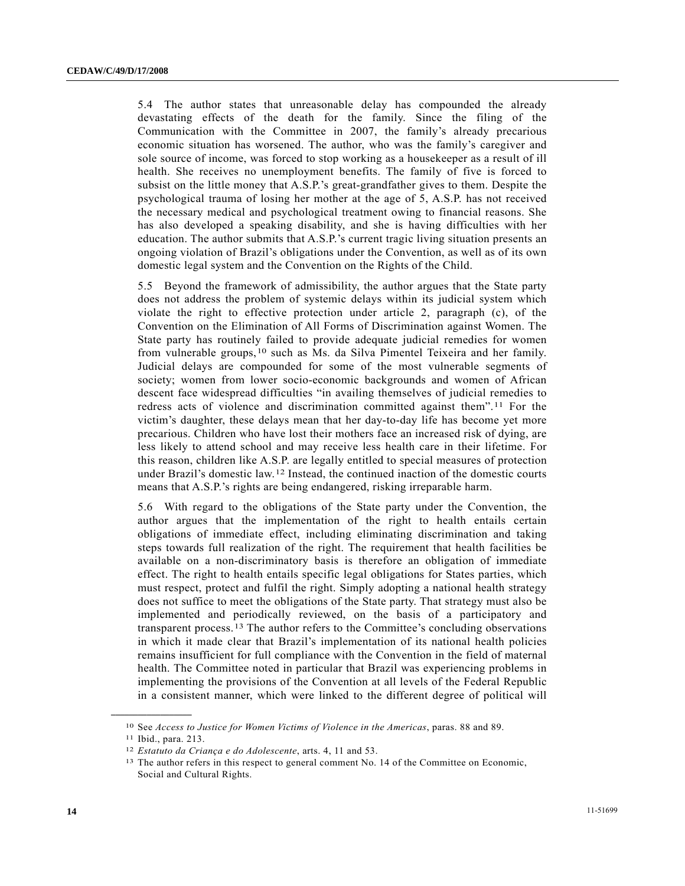5.4 The author states that unreasonable delay has compounded the already devastating effects of the death for the family. Since the filing of the Communication with the Committee in 2007, the family's already precarious economic situation has worsened. The author, who was the family's caregiver and sole source of income, was forced to stop working as a housekeeper as a result of ill health. She receives no unemployment benefits. The family of five is forced to subsist on the little money that A.S.P.'s great-grandfather gives to them. Despite the psychological trauma of losing her mother at the age of 5, A.S.P. has not received the necessary medical and psychological treatment owing to financial reasons. She has also developed a speaking disability, and she is having difficulties with her education. The author submits that A.S.P.'s current tragic living situation presents an ongoing violation of Brazil's obligations under the Convention, as well as of its own domestic legal system and the Convention on the Rights of the Child.

5.5 Beyond the framework of admissibility, the author argues that the State party does not address the problem of systemic delays within its judicial system which violate the right to effective protection under article 2, paragraph (c), of the Convention on the Elimination of All Forms of Discrimination against Women. The State party has routinely failed to provide adequate judicial remedies for women from vulnerable groups,[1](#page-13-0)0 such as Ms. da Silva Pimentel Teixeira and her family. Judicial delays are compounded for some of the most vulnerable segments of society; women from lower socio-economic backgrounds and women of African descent face widespread difficulties "in availing themselves of judicial remedies to redress acts of violence and discrimination committed against them".[11](#page-13-1) For the victim's daughter, these delays mean that her day-to-day life has become yet more precarious. Children who have lost their mothers face an increased risk of dying, are less likely to attend school and may receive less health care in their lifetime. For this reason, children like A.S.P. are legally entitled to special measures of protection under Brazil's domestic law.[12](#page-13-2) Instead, the continued inaction of the domestic courts means that A.S.P.'s rights are being endangered, risking irreparable harm.

5.6 With regard to the obligations of the State party under the Convention, the author argues that the implementation of the right to health entails certain obligations of immediate effect, including eliminating discrimination and taking steps towards full realization of the right. The requirement that health facilities be available on a non-discriminatory basis is therefore an obligation of immediate effect. The right to health entails specific legal obligations for States parties, which must respect, protect and fulfil the right. Simply adopting a national health strategy does not suffice to meet the obligations of the State party. That strategy must also be implemented and periodically reviewed, on the basis of a participatory and transparent process.[13](#page-13-3) The author refers to the Committee's concluding observations in which it made clear that Brazil's implementation of its national health policies remains insufficient for full compliance with the Convention in the field of maternal health. The Committee noted in particular that Brazil was experiencing problems in implementing the provisions of the Convention at all levels of the Federal Republic in a consistent manner, which were linked to the different degree of political will

<span id="page-13-0"></span><sup>10</sup> See *Access to Justice for Women Victims of Violence in the Americas*, paras. 88 and 89. 11 Ibid., para. 213.

<span id="page-13-1"></span>

<span id="page-13-3"></span><span id="page-13-2"></span><sup>&</sup>lt;sup>12</sup> *Estatuto da Criança e do Adolescente*, arts. 4, 11 and 53.<br><sup>13</sup> The author refers in this respect to general comment No. 14 of the Committee on Economic, Social and Cultural Rights.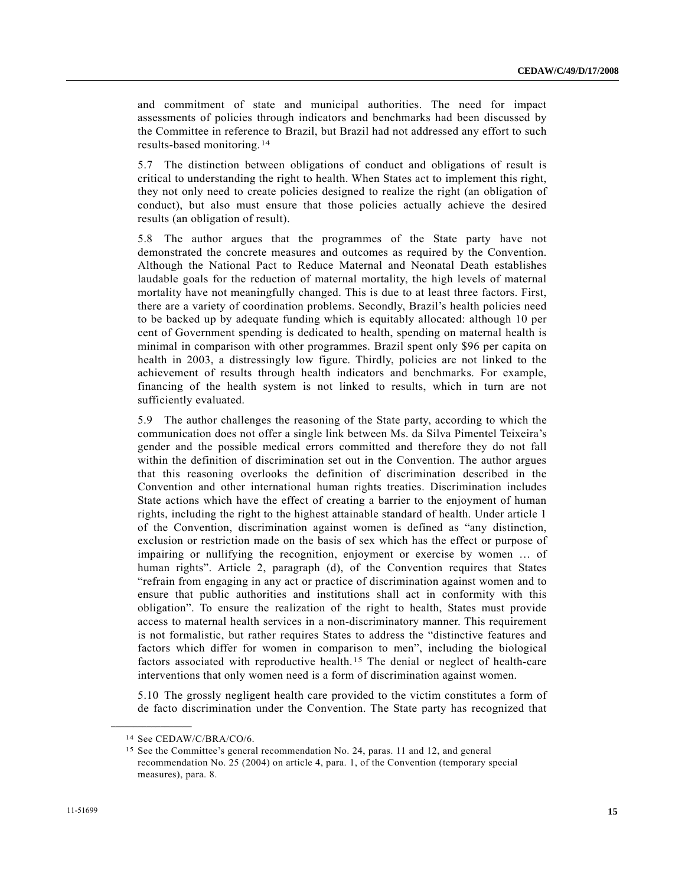and commitment of state and municipal authorities. The need for impact assessments of policies through indicators and benchmarks had been discussed by the Committee in reference to Brazil, but Brazil had not addressed any effort to such results-based monitoring.[1](#page-14-0)4

5.7 The distinction between obligations of conduct and obligations of result is critical to understanding the right to health. When States act to implement this right, they not only need to create policies designed to realize the right (an obligation of conduct), but also must ensure that those policies actually achieve the desired results (an obligation of result).

5.8 The author argues that the programmes of the State party have not demonstrated the concrete measures and outcomes as required by the Convention. Although the National Pact to Reduce Maternal and Neonatal Death establishes laudable goals for the reduction of maternal mortality, the high levels of maternal mortality have not meaningfully changed. This is due to at least three factors. First, there are a variety of coordination problems. Secondly, Brazil's health policies need to be backed up by adequate funding which is equitably allocated: although 10 per cent of Government spending is dedicated to health, spending on maternal health is minimal in comparison with other programmes. Brazil spent only \$96 per capita on health in 2003, a distressingly low figure. Thirdly, policies are not linked to the achievement of results through health indicators and benchmarks. For example, financing of the health system is not linked to results, which in turn are not sufficiently evaluated.

5.9 The author challenges the reasoning of the State party, according to which the communication does not offer a single link between Ms. da Silva Pimentel Teixeira's gender and the possible medical errors committed and therefore they do not fall within the definition of discrimination set out in the Convention. The author argues that this reasoning overlooks the definition of discrimination described in the Convention and other international human rights treaties. Discrimination includes State actions which have the effect of creating a barrier to the enjoyment of human rights, including the right to the highest attainable standard of health. Under article 1 of the Convention, discrimination against women is defined as "any distinction, exclusion or restriction made on the basis of sex which has the effect or purpose of impairing or nullifying the recognition, enjoyment or exercise by women … of human rights". Article 2, paragraph (d), of the Convention requires that States "refrain from engaging in any act or practice of discrimination against women and to ensure that public authorities and institutions shall act in conformity with this obligation". To ensure the realization of the right to health, States must provide access to maternal health services in a non-discriminatory manner. This requirement is not formalistic, but rather requires States to address the "distinctive features and factors which differ for women in comparison to men", including the biological factors associated with reproductive health.[15](#page-14-1) The denial or neglect of health-care interventions that only women need is a form of discrimination against women.

5.10 The grossly negligent health care provided to the victim constitutes a form of de facto discrimination under the Convention. The State party has recognized that

<span id="page-14-1"></span><span id="page-14-0"></span><sup>14</sup> See CEDAW/C/BRA/CO/6.

<sup>15</sup> See the Committee's general recommendation No. 24, paras. 11 and 12, and general recommendation No. 25 (2004) on article 4, para. 1, of the Convention (temporary special measures), para. 8.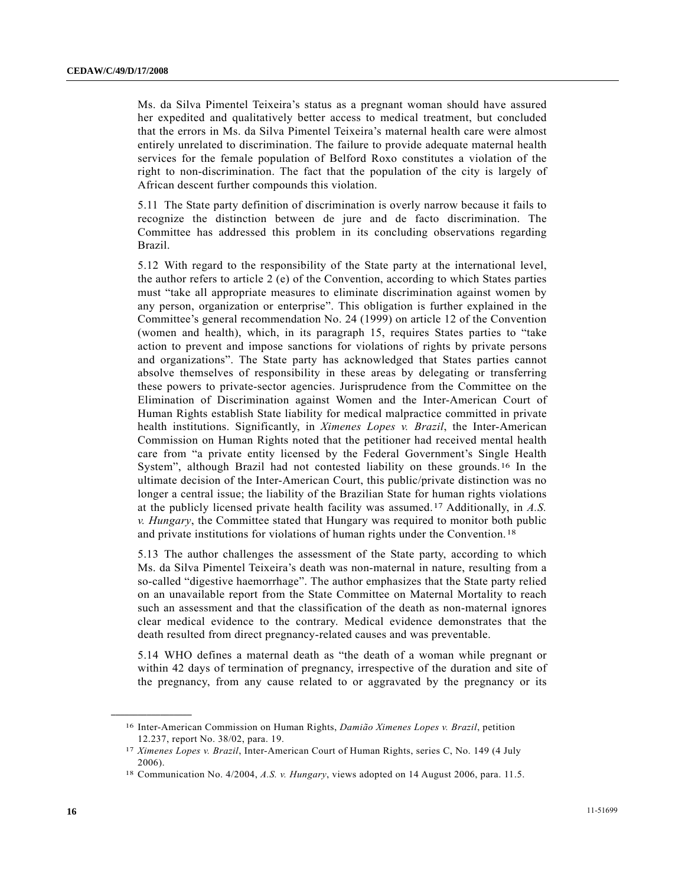Ms. da Silva Pimentel Teixeira's status as a pregnant woman should have assured her expedited and qualitatively better access to medical treatment, but concluded that the errors in Ms. da Silva Pimentel Teixeira's maternal health care were almost entirely unrelated to discrimination. The failure to provide adequate maternal health services for the female population of Belford Roxo constitutes a violation of the right to non-discrimination. The fact that the population of the city is largely of African descent further compounds this violation.

5.11 The State party definition of discrimination is overly narrow because it fails to recognize the distinction between de jure and de facto discrimination. The Committee has addressed this problem in its concluding observations regarding Brazil.

5.12 With regard to the responsibility of the State party at the international level, the author refers to article 2 (e) of the Convention, according to which States parties must "take all appropriate measures to eliminate discrimination against women by any person, organization or enterprise". This obligation is further explained in the Committee's general recommendation No. 24 (1999) on article 12 of the Convention (women and health), which, in its paragraph 15, requires States parties to "take action to prevent and impose sanctions for violations of rights by private persons and organizations". The State party has acknowledged that States parties cannot absolve themselves of responsibility in these areas by delegating or transferring these powers to private-sector agencies. Jurisprudence from the Committee on the Elimination of Discrimination against Women and the Inter-American Court of Human Rights establish State liability for medical malpractice committed in private health institutions. Significantly, in *Ximenes Lopes v. Brazil*, the Inter-American Commission on Human Rights noted that the petitioner had received mental health care from "a private entity licensed by the Federal Government's Single Health System", although Brazil had not contested liability on these grounds.[16](#page-15-0) In the ultimate decision of the Inter-American Court, this public/private distinction was no longer a central issue; the liability of the Brazilian State for human rights violations at the publicly licensed private health facility was assumed.[17](#page-15-1) Additionally, in *A.S. v. Hungary*, the Committee stated that Hungary was required to monitor both public and private institutions for violations of human rights under the Convention.[1](#page-15-2)8

5.13 The author challenges the assessment of the State party, according to which Ms. da Silva Pimentel Teixeira's death was non-maternal in nature, resulting from a so-called "digestive haemorrhage". The author emphasizes that the State party relied on an unavailable report from the State Committee on Maternal Mortality to reach such an assessment and that the classification of the death as non-maternal ignores clear medical evidence to the contrary. Medical evidence demonstrates that the death resulted from direct pregnancy-related causes and was preventable.

5.14 WHO defines a maternal death as "the death of a woman while pregnant or within 42 days of termination of pregnancy, irrespective of the duration and site of the pregnancy, from any cause related to or aggravated by the pregnancy or its

<span id="page-15-0"></span><sup>16</sup> Inter-American Commission on Human Rights, *Damião Ximenes Lopes v. Brazil*, petition 12.237, report No. 38/02, para. 19.

<span id="page-15-1"></span><sup>17</sup> *Ximenes Lopes v. Brazil*, Inter-American Court of Human Rights, series C, No. 149 (4 July 2006).

<span id="page-15-2"></span><sup>18</sup> Communication No. 4/2004, *A.S. v. Hungary*, views adopted on 14 August 2006, para. 11.5.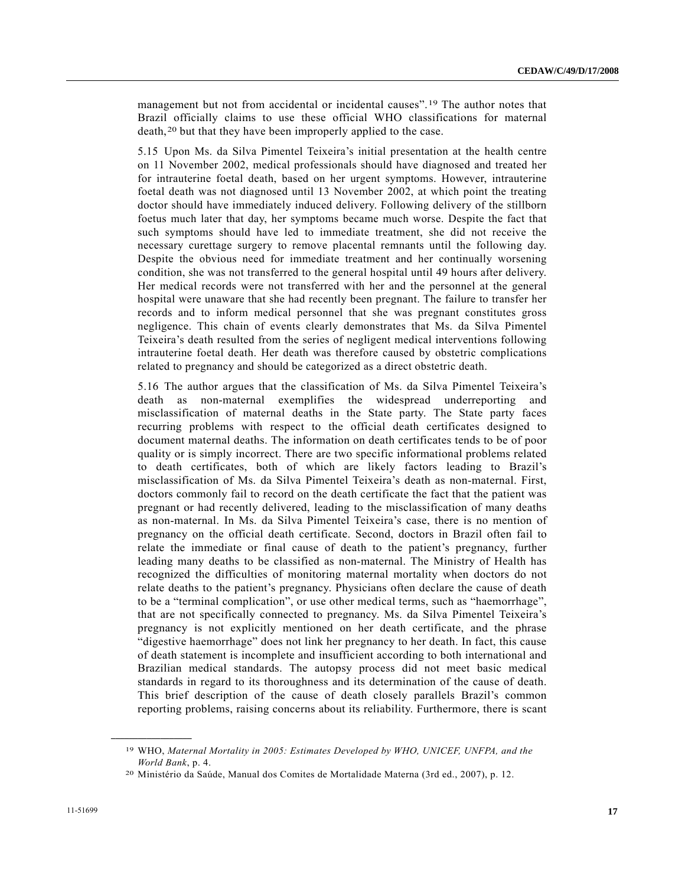management but not from accidental or incidental causes".[1](#page-16-0)9 The author notes that Brazil officially claims to use these official WHO classifications for maternal death,[20](#page-16-1) but that they have been improperly applied to the case.

5.15 Upon Ms. da Silva Pimentel Teixeira's initial presentation at the health centre on 11 November 2002, medical professionals should have diagnosed and treated her for intrauterine foetal death, based on her urgent symptoms. However, intrauterine foetal death was not diagnosed until 13 November 2002, at which point the treating doctor should have immediately induced delivery. Following delivery of the stillborn foetus much later that day, her symptoms became much worse. Despite the fact that such symptoms should have led to immediate treatment, she did not receive the necessary curettage surgery to remove placental remnants until the following day. Despite the obvious need for immediate treatment and her continually worsening condition, she was not transferred to the general hospital until 49 hours after delivery. Her medical records were not transferred with her and the personnel at the general hospital were unaware that she had recently been pregnant. The failure to transfer her records and to inform medical personnel that she was pregnant constitutes gross negligence. This chain of events clearly demonstrates that Ms. da Silva Pimentel Teixeira's death resulted from the series of negligent medical interventions following intrauterine foetal death. Her death was therefore caused by obstetric complications related to pregnancy and should be categorized as a direct obstetric death.

5.16 The author argues that the classification of Ms. da Silva Pimentel Teixeira's death as non-maternal exemplifies the widespread underreporting and misclassification of maternal deaths in the State party. The State party faces recurring problems with respect to the official death certificates designed to document maternal deaths. The information on death certificates tends to be of poor quality or is simply incorrect. There are two specific informational problems related to death certificates, both of which are likely factors leading to Brazil's misclassification of Ms. da Silva Pimentel Teixeira's death as non-maternal. First, doctors commonly fail to record on the death certificate the fact that the patient was pregnant or had recently delivered, leading to the misclassification of many deaths as non-maternal. In Ms. da Silva Pimentel Teixeira's case, there is no mention of pregnancy on the official death certificate. Second, doctors in Brazil often fail to relate the immediate or final cause of death to the patient's pregnancy, further leading many deaths to be classified as non-maternal. The Ministry of Health has recognized the difficulties of monitoring maternal mortality when doctors do not relate deaths to the patient's pregnancy. Physicians often declare the cause of death to be a "terminal complication", or use other medical terms, such as "haemorrhage", that are not specifically connected to pregnancy. Ms. da Silva Pimentel Teixeira's pregnancy is not explicitly mentioned on her death certificate, and the phrase "digestive haemorrhage" does not link her pregnancy to her death. In fact, this cause of death statement is incomplete and insufficient according to both international and Brazilian medical standards. The autopsy process did not meet basic medical standards in regard to its thoroughness and its determination of the cause of death. This brief description of the cause of death closely parallels Brazil's common reporting problems, raising concerns about its reliability. Furthermore, there is scant

<span id="page-16-0"></span><sup>19</sup> WHO, *Maternal Mortality in 2005: Estimates Developed by WHO, UNICEF, UNFPA, and the World Bank*, p. 4.<br><sup>20</sup> Ministério da Saúde, Manual dos Comites de Mortalidade Materna (3rd ed., 2007), p. 12.

<span id="page-16-1"></span>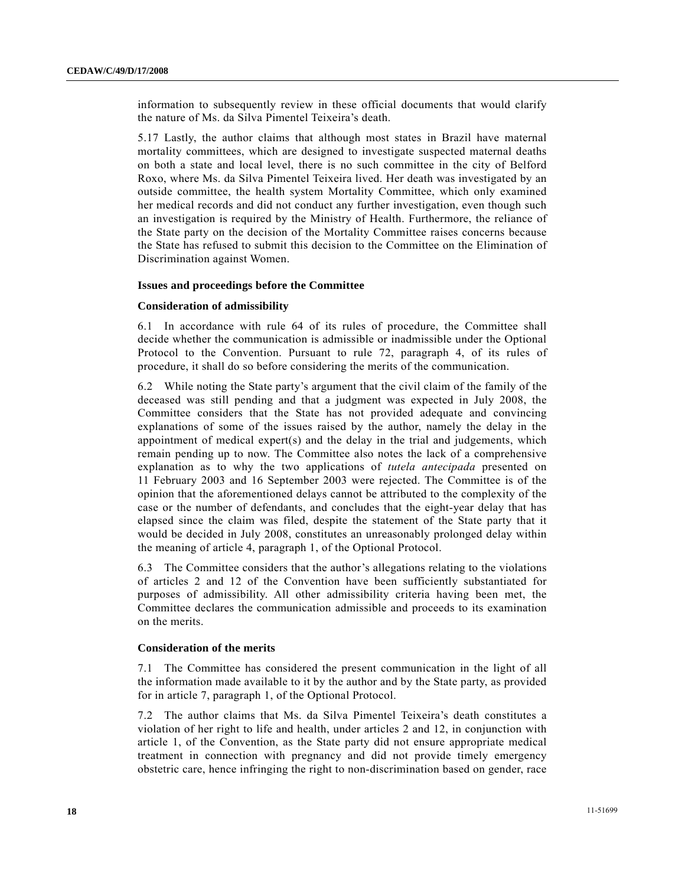information to subsequently review in these official documents that would clarify the nature of Ms. da Silva Pimentel Teixeira's death.

5.17 Lastly, the author claims that although most states in Brazil have maternal mortality committees, which are designed to investigate suspected maternal deaths on both a state and local level, there is no such committee in the city of Belford Roxo, where Ms. da Silva Pimentel Teixeira lived. Her death was investigated by an outside committee, the health system Mortality Committee, which only examined her medical records and did not conduct any further investigation, even though such an investigation is required by the Ministry of Health. Furthermore, the reliance of the State party on the decision of the Mortality Committee raises concerns because the State has refused to submit this decision to the Committee on the Elimination of Discrimination against Women.

#### **Issues and proceedings before the Committee**

#### **Consideration of admissibility**

6.1 In accordance with rule 64 of its rules of procedure, the Committee shall decide whether the communication is admissible or inadmissible under the Optional Protocol to the Convention. Pursuant to rule 72, paragraph 4, of its rules of procedure, it shall do so before considering the merits of the communication.

6.2 While noting the State party's argument that the civil claim of the family of the deceased was still pending and that a judgment was expected in July 2008, the Committee considers that the State has not provided adequate and convincing explanations of some of the issues raised by the author, namely the delay in the appointment of medical expert(s) and the delay in the trial and judgements, which remain pending up to now. The Committee also notes the lack of a comprehensive explanation as to why the two applications of *tutela antecipada* presented on 11 February 2003 and 16 September 2003 were rejected. The Committee is of the opinion that the aforementioned delays cannot be attributed to the complexity of the case or the number of defendants, and concludes that the eight-year delay that has elapsed since the claim was filed, despite the statement of the State party that it would be decided in July 2008, constitutes an unreasonably prolonged delay within the meaning of article 4, paragraph 1, of the Optional Protocol.

6.3 The Committee considers that the author's allegations relating to the violations of articles 2 and 12 of the Convention have been sufficiently substantiated for purposes of admissibility. All other admissibility criteria having been met, the Committee declares the communication admissible and proceeds to its examination on the merits.

#### **Consideration of the merits**

7.1 The Committee has considered the present communication in the light of all the information made available to it by the author and by the State party, as provided for in article 7, paragraph 1, of the Optional Protocol.

7.2 The author claims that Ms. da Silva Pimentel Teixeira's death constitutes a violation of her right to life and health, under articles 2 and 12, in conjunction with article 1, of the Convention, as the State party did not ensure appropriate medical treatment in connection with pregnancy and did not provide timely emergency obstetric care, hence infringing the right to non-discrimination based on gender, race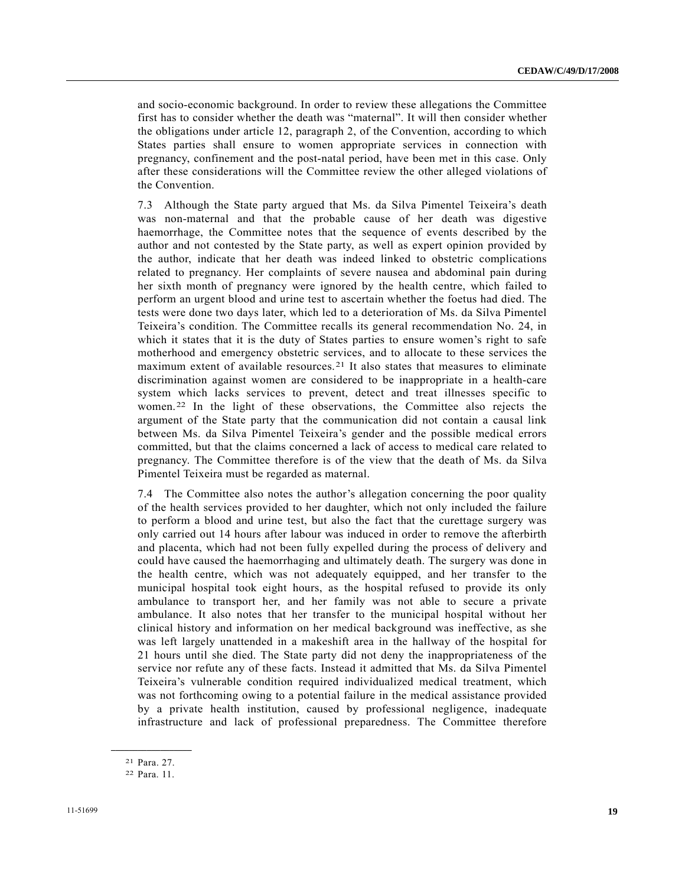and socio-economic background. In order to review these allegations the Committee first has to consider whether the death was "maternal". It will then consider whether the obligations under article 12, paragraph 2, of the Convention, according to which States parties shall ensure to women appropriate services in connection with pregnancy, confinement and the post-natal period, have been met in this case. Only after these considerations will the Committee review the other alleged violations of the Convention.

7.3 Although the State party argued that Ms. da Silva Pimentel Teixeira's death was non-maternal and that the probable cause of her death was digestive haemorrhage, the Committee notes that the sequence of events described by the author and not contested by the State party, as well as expert opinion provided by the author, indicate that her death was indeed linked to obstetric complications related to pregnancy. Her complaints of severe nausea and abdominal pain during her sixth month of pregnancy were ignored by the health centre, which failed to perform an urgent blood and urine test to ascertain whether the foetus had died. The tests were done two days later, which led to a deterioration of Ms. da Silva Pimentel Teixeira's condition. The Committee recalls its general recommendation No. 24, in which it states that it is the duty of States parties to ensure women's right to safe motherhood and emergency obstetric services, and to allocate to these services the maximum extent of available resources.<sup>[2](#page-18-0)1</sup> It also states that measures to eliminate discrimination against women are considered to be inappropriate in a health-care system which lacks services to prevent, detect and treat illnesses specific to women.[22](#page-18-1) In the light of these observations, the Committee also rejects the argument of the State party that the communication did not contain a causal link between Ms. da Silva Pimentel Teixeira's gender and the possible medical errors committed, but that the claims concerned a lack of access to medical care related to pregnancy. The Committee therefore is of the view that the death of Ms. da Silva Pimentel Teixeira must be regarded as maternal.

7.4 The Committee also notes the author's allegation concerning the poor quality of the health services provided to her daughter, which not only included the failure to perform a blood and urine test, but also the fact that the curettage surgery was only carried out 14 hours after labour was induced in order to remove the afterbirth and placenta, which had not been fully expelled during the process of delivery and could have caused the haemorrhaging and ultimately death. The surgery was done in the health centre, which was not adequately equipped, and her transfer to the municipal hospital took eight hours, as the hospital refused to provide its only ambulance to transport her, and her family was not able to secure a private ambulance. It also notes that her transfer to the municipal hospital without her clinical history and information on her medical background was ineffective, as she was left largely unattended in a makeshift area in the hallway of the hospital for 21 hours until she died. The State party did not deny the inappropriateness of the service nor refute any of these facts. Instead it admitted that Ms. da Silva Pimentel Teixeira's vulnerable condition required individualized medical treatment, which was not forthcoming owing to a potential failure in the medical assistance provided by a private health institution, caused by professional negligence, inadequate infrastructure and lack of professional preparedness. The Committee therefore

<span id="page-18-1"></span><span id="page-18-0"></span>**\_\_\_\_\_\_\_\_\_\_\_\_\_\_\_\_\_\_**  21 Para. 27.

<sup>22</sup> Para. 11.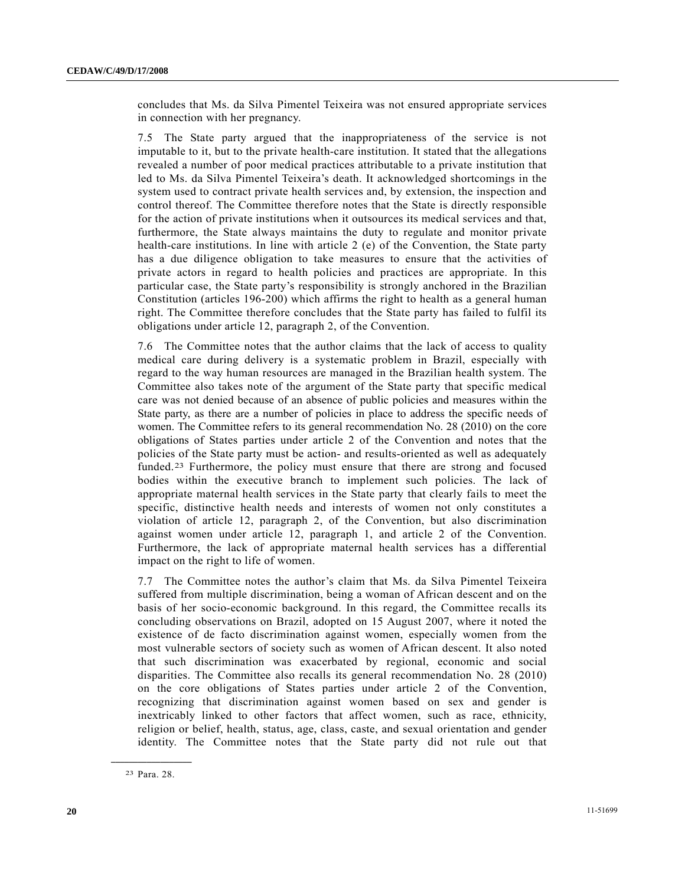concludes that Ms. da Silva Pimentel Teixeira was not ensured appropriate services in connection with her pregnancy.

7.5 The State party argued that the inappropriateness of the service is not imputable to it, but to the private health-care institution. It stated that the allegations revealed a number of poor medical practices attributable to a private institution that led to Ms. da Silva Pimentel Teixeira's death. It acknowledged shortcomings in the system used to contract private health services and, by extension, the inspection and control thereof. The Committee therefore notes that the State is directly responsible for the action of private institutions when it outsources its medical services and that, furthermore, the State always maintains the duty to regulate and monitor private health-care institutions. In line with article 2 (e) of the Convention, the State party has a due diligence obligation to take measures to ensure that the activities of private actors in regard to health policies and practices are appropriate. In this particular case, the State party's responsibility is strongly anchored in the Brazilian Constitution (articles 196-200) which affirms the right to health as a general human right. The Committee therefore concludes that the State party has failed to fulfil its obligations under article 12, paragraph 2, of the Convention.

7.6 The Committee notes that the author claims that the lack of access to quality medical care during delivery is a systematic problem in Brazil, especially with regard to the way human resources are managed in the Brazilian health system. The Committee also takes note of the argument of the State party that specific medical care was not denied because of an absence of public policies and measures within the State party, as there are a number of policies in place to address the specific needs of women. The Committee refers to its general recommendation No. 28 (2010) on the core obligations of States parties under article 2 of the Convention and notes that the policies of the State party must be action- and results-oriented as well as adequately funded.[2](#page-19-0)3 Furthermore, the policy must ensure that there are strong and focused bodies within the executive branch to implement such policies. The lack of appropriate maternal health services in the State party that clearly fails to meet the specific, distinctive health needs and interests of women not only constitutes a violation of article 12, paragraph 2, of the Convention, but also discrimination against women under article 12, paragraph 1, and article 2 of the Convention. Furthermore, the lack of appropriate maternal health services has a differential impact on the right to life of women.

7.7 The Committee notes the author's claim that Ms. da Silva Pimentel Teixeira suffered from multiple discrimination, being a woman of African descent and on the basis of her socio-economic background. In this regard, the Committee recalls its concluding observations on Brazil, adopted on 15 August 2007, where it noted the existence of de facto discrimination against women, especially women from the most vulnerable sectors of society such as women of African descent. It also noted that such discrimination was exacerbated by regional, economic and social disparities. The Committee also recalls its general recommendation No. 28 (2010) on the core obligations of States parties under article 2 of the Convention, recognizing that discrimination against women based on sex and gender is inextricably linked to other factors that affect women, such as race, ethnicity, religion or belief, health, status, age, class, caste, and sexual orientation and gender identity. The Committee notes that the State party did not rule out that

<span id="page-19-0"></span>**\_\_\_\_\_\_\_\_\_\_\_\_\_\_\_\_\_\_**  23 Para. 28.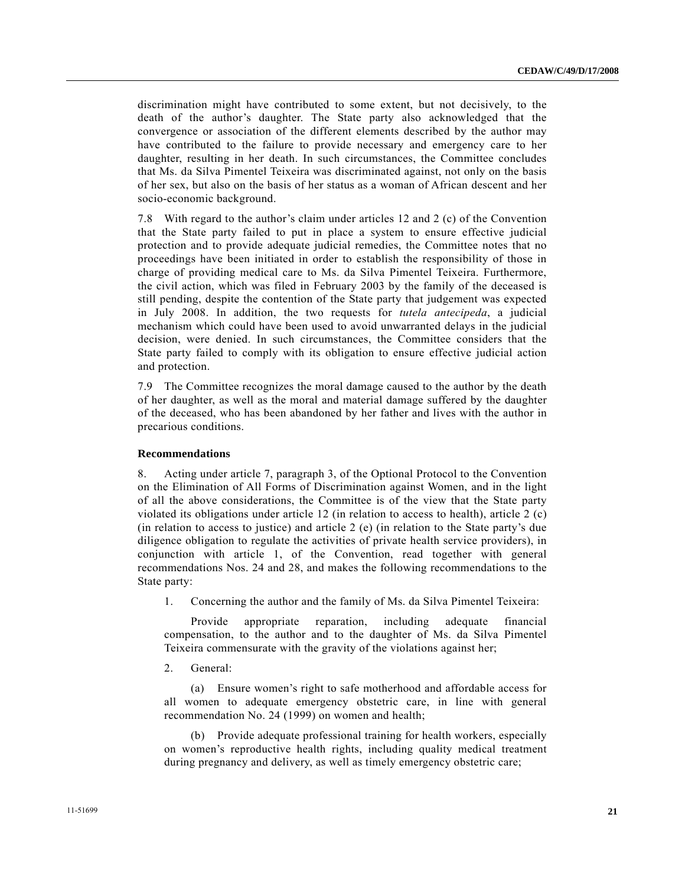discrimination might have contributed to some extent, but not decisively, to the death of the author's daughter. The State party also acknowledged that the convergence or association of the different elements described by the author may have contributed to the failure to provide necessary and emergency care to her daughter, resulting in her death. In such circumstances, the Committee concludes that Ms. da Silva Pimentel Teixeira was discriminated against, not only on the basis of her sex, but also on the basis of her status as a woman of African descent and her socio-economic background.

7.8 With regard to the author's claim under articles 12 and 2 (c) of the Convention that the State party failed to put in place a system to ensure effective judicial protection and to provide adequate judicial remedies, the Committee notes that no proceedings have been initiated in order to establish the responsibility of those in charge of providing medical care to Ms. da Silva Pimentel Teixeira. Furthermore, the civil action, which was filed in February 2003 by the family of the deceased is still pending, despite the contention of the State party that judgement was expected in July 2008. In addition, the two requests for *tutela antecipeda*, a judicial mechanism which could have been used to avoid unwarranted delays in the judicial decision, were denied. In such circumstances, the Committee considers that the State party failed to comply with its obligation to ensure effective judicial action and protection.

7.9 The Committee recognizes the moral damage caused to the author by the death of her daughter, as well as the moral and material damage suffered by the daughter of the deceased, who has been abandoned by her father and lives with the author in precarious conditions.

#### **Recommendations**

8. Acting under article 7, paragraph 3, of the Optional Protocol to the Convention on the Elimination of All Forms of Discrimination against Women, and in the light of all the above considerations, the Committee is of the view that the State party violated its obligations under article 12 (in relation to access to health), article 2 (c) (in relation to access to justice) and article 2 (e) (in relation to the State party's due diligence obligation to regulate the activities of private health service providers), in conjunction with article 1, of the Convention, read together with general recommendations Nos. 24 and 28, and makes the following recommendations to the State party:

1. Concerning the author and the family of Ms. da Silva Pimentel Teixeira:

 Provide appropriate reparation, including adequate financial compensation, to the author and to the daughter of Ms. da Silva Pimentel Teixeira commensurate with the gravity of the violations against her;

2. General:

 (a) Ensure women's right to safe motherhood and affordable access for all women to adequate emergency obstetric care, in line with general recommendation No. 24 (1999) on women and health;

 (b) Provide adequate professional training for health workers, especially on women's reproductive health rights, including quality medical treatment during pregnancy and delivery, as well as timely emergency obstetric care;